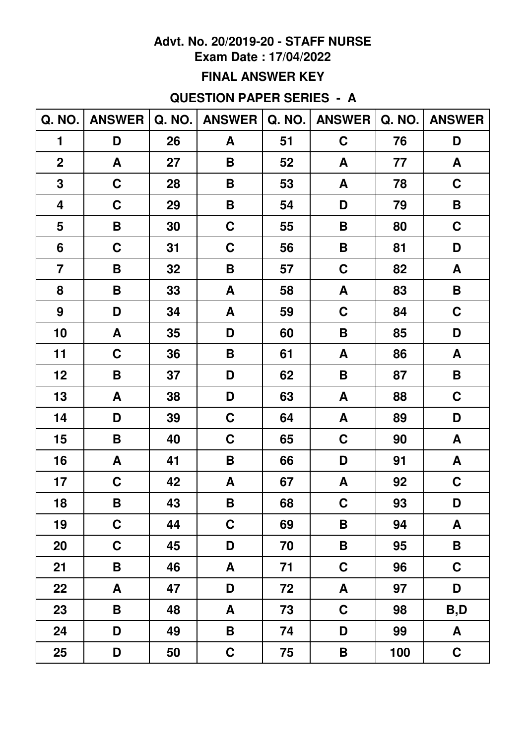### **Exam Date : 17/04/2022**

### **FINAL ANSWER KEY**

## **QUESTION PAPER SERIES - A**

| Q. NO.           | <b>ANSWER</b> | Q. NO. | <b>ANSWER</b> | <b>Q. NO.</b> | <b>ANSWER</b> | Q. NO. | <b>ANSWER</b> |
|------------------|---------------|--------|---------------|---------------|---------------|--------|---------------|
| 1                | D             | 26     | A             | 51            | $\mathbf C$   | 76     | D             |
| $\overline{2}$   | A             | 27     | B             | 52            | A             | 77     | A             |
| 3                | $\mathbf C$   | 28     | B             | 53            | A             | 78     | $\mathbf C$   |
| 4                | $\mathbf C$   | 29     | B             | 54            | D             | 79     | B             |
| 5                | B             | 30     | $\mathbf C$   | 55            | B             | 80     | $\mathbf C$   |
| 6                | $\mathbf C$   | 31     | $\mathbf C$   | 56            | B             | 81     | D             |
| $\overline{7}$   | B             | 32     | B             | 57            | $\mathbf C$   | 82     | A             |
| 8                | B             | 33     | A             | 58            | A             | 83     | $\mathbf B$   |
| $\boldsymbol{9}$ | D             | 34     | A             | 59            | $\mathbf C$   | 84     | $\mathbf C$   |
| 10               | A             | 35     | D             | 60            | B             | 85     | D             |
| 11               | $\mathbf C$   | 36     | B             | 61            | A             | 86     | A             |
| 12               | B             | 37     | D             | 62            | B             | 87     | B             |
| 13               | A             | 38     | D             | 63            | A             | 88     | $\mathbf C$   |
| 14               | D             | 39     | $\mathbf C$   | 64            | A             | 89     | D             |
| 15               | B             | 40     | $\mathbf C$   | 65            | $\mathbf C$   | 90     | A             |
| 16               | A             | 41     | B             | 66            | D             | 91     | A             |
| 17               | $\mathbf C$   | 42     | A             | 67            | A             | 92     | $\mathbf C$   |
| 18               | B             | 43     | $\mathsf B$   | 68            | $\mathbf C$   | 93     | D             |
| 19               | $\mathbf C$   | 44     | $\mathbf C$   | 69            | B             | 94     | A             |
| 20               | $\mathbf C$   | 45     | D             | 70            | B             | 95     | B             |
| 21               | B             | 46     | A             | 71            | $\mathbf C$   | 96     | $\mathbf C$   |
| 22               | A             | 47     | D             | 72            | A             | 97     | D             |
| 23               | B             | 48     | A             | 73            | $\mathbf C$   | 98     | B,D           |
| 24               | D             | 49     | B             | 74            | D             | 99     | A             |
| 25               | D             | 50     | $\mathbf C$   | 75            | B             | 100    | $\mathbf C$   |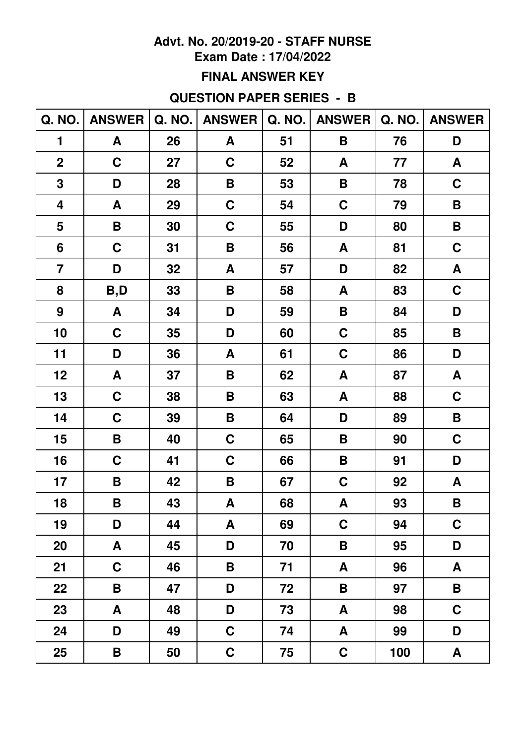### **Exam Date : 17/04/2022**

### **FINAL ANSWER KEY**

## **QUESTION PAPER SERIES - B**

| Q. NO.           | <b>ANSWER</b> |    | Q. NO.   ANSWER |    | Q. NO.   ANSWER    | Q. NO. | <b>ANSWER</b> |
|------------------|---------------|----|-----------------|----|--------------------|--------|---------------|
| 1                | A             | 26 | A               | 51 | B                  | 76     | D             |
| $\mathbf 2$      | $\mathbf C$   | 27 | $\mathbf C$     | 52 | A                  | 77     | A             |
| 3                | D             | 28 | B               | 53 | B                  | 78     | $\mathbf C$   |
| 4                | A             | 29 | $\mathbf C$     | 54 | C                  | 79     | B             |
| 5                | B             | 30 | $\mathbf C$     | 55 | D                  | 80     | B             |
| 6                | $\mathbf C$   | 31 | B               | 56 | A                  | 81     | $\mathbf C$   |
| $\overline{7}$   | D             | 32 | A               | 57 | D                  | 82     | A             |
| 8                | B,D           | 33 | B               | 58 | A                  | 83     | $\mathbf C$   |
| $\boldsymbol{9}$ | A             | 34 | D               | 59 | $\pmb{\mathsf{B}}$ | 84     | D             |
| 10               | $\mathbf C$   | 35 | D               | 60 | $\mathbf C$        | 85     | B             |
| 11               | D             | 36 | A               | 61 | $\mathbf C$        | 86     | D             |
| 12               | A             | 37 | B               | 62 | A                  | 87     | A             |
| 13               | $\mathbf C$   | 38 | B               | 63 | A                  | 88     | $\mathbf C$   |
| 14               | $\mathbf C$   | 39 | B               | 64 | D                  | 89     | B             |
| 15               | B             | 40 | $\mathbf C$     | 65 | B                  | 90     | $\mathbf C$   |
| 16               | $\mathbf C$   | 41 | $\mathbf C$     | 66 | B                  | 91     | D             |
| 17               | B             | 42 | B               | 67 | C                  | 92     | A             |
| 18               | $\mathsf B$   | 43 | A               | 68 | ${\bf A}$          | 93     | $\mathsf B$   |
| 19               | D             | 44 | A               | 69 | C                  | 94     | $\mathbf C$   |
| 20               | A             | 45 | D               | 70 | B                  | 95     | D             |
| 21               | $\mathbf C$   | 46 | B               | 71 | A                  | 96     | A             |
| 22               | B             | 47 | D               | 72 | B                  | 97     | B             |
| 23               | A             | 48 | D               | 73 | A                  | 98     | $\mathbf C$   |
| 24               | D             | 49 | $\mathbf C$     | 74 | A                  | 99     | D             |
| 25               | B             | 50 | $\mathbf C$     | 75 | $\mathbf C$        | 100    | A             |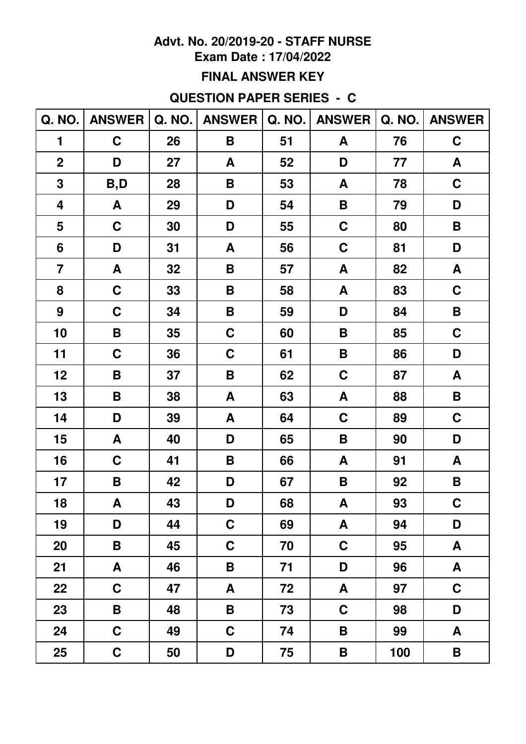### **Exam Date: 17/04/2022**

### **FINAL ANSWER KEY**

## **QUESTION PAPER SERIES - C**

|                 | Q. NO.   ANSWER |    | Q. NO.   ANSWER    |    | Q. NO.   ANSWER | Q. NO. | <b>ANSWER</b>      |
|-----------------|-----------------|----|--------------------|----|-----------------|--------|--------------------|
| 1               | $\mathbf C$     | 26 | B                  | 51 | A               | 76     | $\mathbf C$        |
| $\overline{2}$  | D               | 27 | A                  | 52 | D               | 77     | A                  |
| 3               | B,D             | 28 | B                  | 53 | A               | 78     | $\mathbf C$        |
| 4               | A               | 29 | D                  | 54 | B               | 79     | D                  |
| 5               | $\mathbf C$     | 30 | D                  | 55 | $\mathbf C$     | 80     | B                  |
| $6\phantom{1}6$ | D               | 31 | A                  | 56 | $\mathbf C$     | 81     | D                  |
| $\overline{7}$  | A               | 32 | B                  | 57 | A               | 82     | A                  |
| 8               | $\mathbf C$     | 33 | B                  | 58 | A               | 83     | $\mathbf C$        |
| 9               | $\mathbf C$     | 34 | B                  | 59 | D               | 84     | B                  |
| 10              | B               | 35 | $\mathbf C$        | 60 | B               | 85     | $\mathbf C$        |
| 11              | $\mathbf C$     | 36 | $\mathbf C$        | 61 | B               | 86     | D                  |
| 12              | B               | 37 | $\pmb{\mathsf{B}}$ | 62 | $\mathbf C$     | 87     | A                  |
| 13              | B               | 38 | A                  | 63 | A               | 88     | $\pmb{\mathsf{B}}$ |
| 14              | D               | 39 | A                  | 64 | $\mathbf C$     | 89     | $\mathbf C$        |
| 15              | A               | 40 | D                  | 65 | B               | 90     | D                  |
| 16              | $\mathbf C$     | 41 | B                  | 66 | A               | 91     | A                  |
| 17              | B               | 42 | D                  | 67 | B               | 92     | B                  |
| 18              | A               | 43 | D                  | 68 | A               | 93     | $\mathbf C$        |
| 19              | D               | 44 | $\mathbf C$        | 69 | A               | 94     | D                  |
| 20              | B               | 45 | $\mathbf C$        | 70 | C               | 95     | A                  |
| 21              | A               | 46 | B                  | 71 | D               | 96     | A                  |
| 22              | $\mathbf C$     | 47 | A                  | 72 | A               | 97     | C                  |
| 23              | B               | 48 | B                  | 73 | $\mathbf C$     | 98     | D                  |
| 24              | $\mathbf C$     | 49 | $\mathbf C$        | 74 | B               | 99     | A                  |
| 25              | $\mathbf C$     | 50 | D                  | 75 | B               | 100    | B                  |